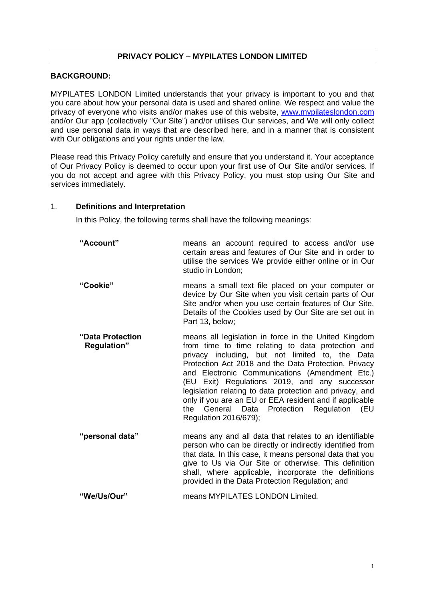## **PRIVACY POLICY – MYPILATES LONDON LIMITED**

## **BACKGROUND:**

MYPILATES LONDON Limited understands that your privacy is important to you and that you care about how your personal data is used and shared online. We respect and value the privacy of everyone who visits and/or makes use of this website, [www.mypilateslondon.com](http://www.mypilateslondon.com/) and/or Our app (collectively "Our Site") and/or utilises Our services, and We will only collect and use personal data in ways that are described here, and in a manner that is consistent with Our obligations and your rights under the law.

Please read this Privacy Policy carefully and ensure that you understand it. Your acceptance of Our Privacy Policy is deemed to occur upon your first use of Our Site and/or services. If you do not accept and agree with this Privacy Policy, you must stop using Our Site and services immediately.

#### 1. **Definitions and Interpretation**

In this Policy, the following terms shall have the following meanings:

- **"Account"** means an account required to access and/or use certain areas and features of Our Site and in order to utilise the services We provide either online or in Our studio in London;
- **"Cookie"** means a small text file placed on your computer or device by Our Site when you visit certain parts of Our Site and/or when you use certain features of Our Site. Details of the Cookies used by Our Site are set out in Part 13, below;
- **"Data Protection Regulation"** means all legislation in force in the United Kingdom from time to time relating to data protection and privacy including, but not limited to, the Data Protection Act 2018 and the Data Protection, Privacy and Electronic Communications (Amendment Etc.) (EU Exit) Regulations 2019, and any successor legislation relating to data protection and privacy, and only if you are an EU or EEA resident and if applicable the General Data Protection Regulation (EU Regulation 2016/679);
- **"personal data"** means any and all data that relates to an identifiable person who can be directly or indirectly identified from that data. In this case, it means personal data that you give to Us via Our Site or otherwise. This definition shall, where applicable, incorporate the definitions provided in the Data Protection Regulation; and

**"We/Us/Our"** means MYPILATES LONDON Limited.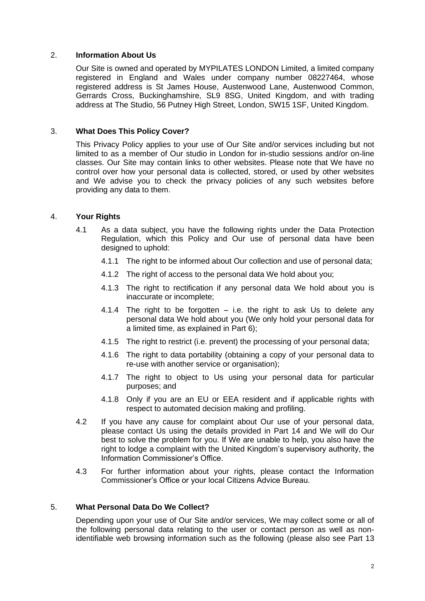## 2. **Information About Us**

Our Site is owned and operated by MYPILATES LONDON Limited, a limited company registered in England and Wales under company number 08227464, whose registered address is St James House, Austenwood Lane, Austenwood Common, Gerrards Cross, Buckinghamshire, SL9 8SG, United Kingdom, and with trading address at The Studio, 56 Putney High Street, London, SW15 1SF, United Kingdom.

#### 3. **What Does This Policy Cover?**

This Privacy Policy applies to your use of Our Site and/or services including but not limited to as a member of Our studio in London for in-studio sessions and/or on-line classes. Our Site may contain links to other websites. Please note that We have no control over how your personal data is collected, stored, or used by other websites and We advise you to check the privacy policies of any such websites before providing any data to them.

#### 4. **Your Rights**

- 4.1 As a data subject, you have the following rights under the Data Protection Regulation, which this Policy and Our use of personal data have been designed to uphold:
	- 4.1.1 The right to be informed about Our collection and use of personal data;
	- 4.1.2 The right of access to the personal data We hold about you;
	- 4.1.3 The right to rectification if any personal data We hold about you is inaccurate or incomplete;
	- 4.1.4 The right to be forgotten  $-$  i.e. the right to ask Us to delete any personal data We hold about you (We only hold your personal data for a limited time, as explained in Part 6);
	- 4.1.5 The right to restrict (i.e. prevent) the processing of your personal data;
	- 4.1.6 The right to data portability (obtaining a copy of your personal data to re-use with another service or organisation);
	- 4.1.7 The right to object to Us using your personal data for particular purposes; and
	- 4.1.8 Only if you are an EU or EEA resident and if applicable rights with respect to automated decision making and profiling.
- 4.2 If you have any cause for complaint about Our use of your personal data, please contact Us using the details provided in Part 14 and We will do Our best to solve the problem for you. If We are unable to help, you also have the right to lodge a complaint with the United Kingdom's supervisory authority, the Information Commissioner's Office.
- 4.3 For further information about your rights, please contact the Information Commissioner's Office or your local Citizens Advice Bureau.

## 5. **What Personal Data Do We Collect?**

Depending upon your use of Our Site and/or services, We may collect some or all of the following personal data relating to the user or contact person as well as nonidentifiable web browsing information such as the following (please also see Part 13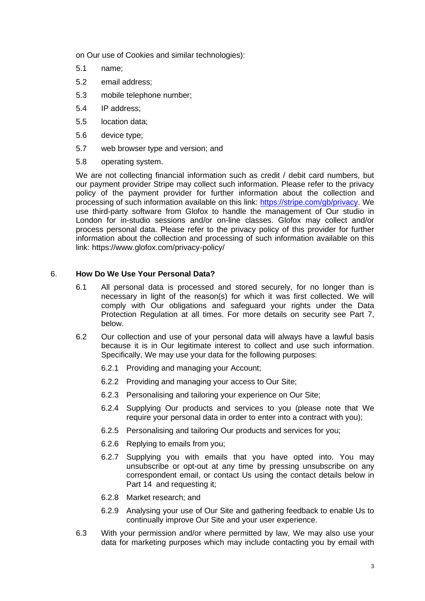on Our use of Cookies and similar technologies):

- 5.1 name;
- 5.2 email address;
- 5.3 mobile telephone number;
- 5.4 IP address;
- 5.5 location data;
- 5.6 device type;
- 5.7 web browser type and version; and
- 5.8 operating system.

We are not collecting financial information such as credit / debit card numbers, but our payment provider Stripe may collect such information. Please refer to the privacy policy of the payment provider for further information about the collection and processing of such information available on this link: [https://stripe.com/gb/privacy.](https://stripe.com/gb/privacy) We use third-party software from Glofox to handle the management of Our studio in London for in-studio sessions and/or on-line classes. Glofox may collect and/or process personal data. Please refer to the privacy policy of this provider for further information about the collection and processing of such information available on this link: https://www.glofox.com/privacy-policy/

# 6. **How Do We Use Your Personal Data?**

- 6.1 All personal data is processed and stored securely, for no longer than is necessary in light of the reason(s) for which it was first collected. We will comply with Our obligations and safeguard your rights under the Data Protection Regulation at all times. For more details on security see Part 7, below.
- 6.2 Our collection and use of your personal data will always have a lawful basis because it is in Our legitimate interest to collect and use such information. Specifically, We may use your data for the following purposes:
	- 6.2.1 Providing and managing your Account;
	- 6.2.2 Providing and managing your access to Our Site;
	- 6.2.3 Personalising and tailoring your experience on Our Site;
	- 6.2.4 Supplying Our products and services to you (please note that We require your personal data in order to enter into a contract with you);
	- 6.2.5 Personalising and tailoring Our products and services for you;
	- 6.2.6 Replying to emails from you;
	- 6.2.7 Supplying you with emails that you have opted into. You may unsubscribe or opt-out at any time by pressing unsubscribe on any correspondent email, or contact Us using the contact details below in Part 14 and requesting it;
	- 6.2.8 Market research; and
	- 6.2.9 Analysing your use of Our Site and gathering feedback to enable Us to continually improve Our Site and your user experience.
- 6.3 With your permission and/or where permitted by law, We may also use your data for marketing purposes which may include contacting you by email with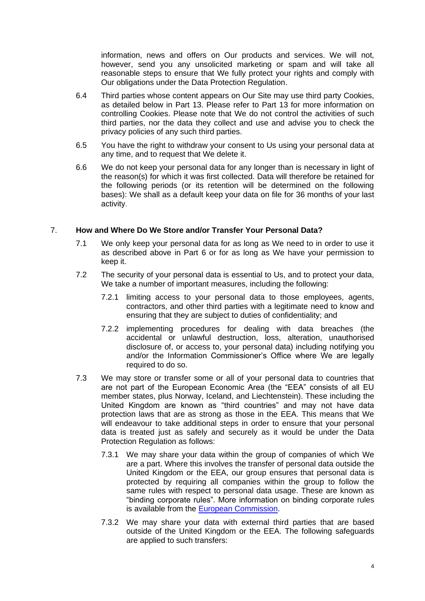information, news and offers on Our products and services. We will not, however, send you any unsolicited marketing or spam and will take all reasonable steps to ensure that We fully protect your rights and comply with Our obligations under the Data Protection Regulation.

- 6.4 Third parties whose content appears on Our Site may use third party Cookies, as detailed below in Part 13. Please refer to Part 13 for more information on controlling Cookies. Please note that We do not control the activities of such third parties, nor the data they collect and use and advise you to check the privacy policies of any such third parties.
- 6.5 You have the right to withdraw your consent to Us using your personal data at any time, and to request that We delete it.
- 6.6 We do not keep your personal data for any longer than is necessary in light of the reason(s) for which it was first collected. Data will therefore be retained for the following periods (or its retention will be determined on the following bases): We shall as a default keep your data on file for 36 months of your last activity.

# 7. **How and Where Do We Store and/or Transfer Your Personal Data?**

- 7.1 We only keep your personal data for as long as We need to in order to use it as described above in Part 6 or for as long as We have your permission to keep it.
- 7.2 The security of your personal data is essential to Us, and to protect your data, We take a number of important measures, including the following:
	- 7.2.1 limiting access to your personal data to those employees, agents, contractors, and other third parties with a legitimate need to know and ensuring that they are subject to duties of confidentiality; and
	- 7.2.2 implementing procedures for dealing with data breaches (the accidental or unlawful destruction, loss, alteration, unauthorised disclosure of, or access to, your personal data) including notifying you and/or the Information Commissioner's Office where We are legally required to do so.
- 7.3 We may store or transfer some or all of your personal data to countries that are not part of the European Economic Area (the "EEA" consists of all EU member states, plus Norway, Iceland, and Liechtenstein). These including the United Kingdom are known as "third countries" and may not have data protection laws that are as strong as those in the EEA. This means that We will endeavour to take additional steps in order to ensure that your personal data is treated just as safely and securely as it would be under the Data Protection Regulation as follows:
	- 7.3.1 We may share your data within the group of companies of which We are a part. Where this involves the transfer of personal data outside the United Kingdom or the EEA, our group ensures that personal data is protected by requiring all companies within the group to follow the same rules with respect to personal data usage. These are known as "binding corporate rules". More information on binding corporate rules is available from the [European Commission.](https://ec.europa.eu/info/law/law-topic/data-protection/data-transfers-outside-eu/binding-corporate-rules_en)
	- 7.3.2 We may share your data with external third parties that are based outside of the United Kingdom or the EEA. The following safeguards are applied to such transfers: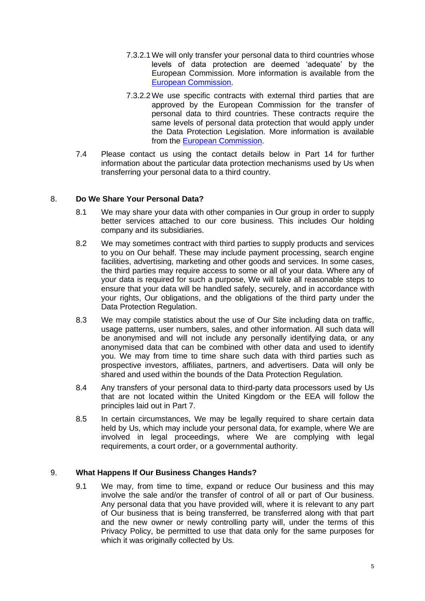- 7.3.2.1We will only transfer your personal data to third countries whose levels of data protection are deemed 'adequate' by the European Commission. More information is available from the [European Commission.](https://ec.europa.eu/info/law/law-topic/data-protection/data-transfers-outside-eu/adequacy-protection-personal-data-non-eu-countries_en)
- 7.3.2.2We use specific contracts with external third parties that are approved by the European Commission for the transfer of personal data to third countries. These contracts require the same levels of personal data protection that would apply under the Data Protection Legislation. More information is available from the [European Commission.](https://ec.europa.eu/info/law/law-topic/data-protection/data-transfers-outside-eu/model-contracts-transfer-personal-data-third-countries_en)
- 7.4 Please contact us using the contact details below in Part 14 for further information about the particular data protection mechanisms used by Us when transferring your personal data to a third country.

# 8. **Do We Share Your Personal Data?**

- 8.1 We may share your data with other companies in Our group in order to supply better services attached to our core business. This includes Our holding company and its subsidiaries.
- 8.2 We may sometimes contract with third parties to supply products and services to you on Our behalf. These may include payment processing, search engine facilities, advertising, marketing and other goods and services. In some cases, the third parties may require access to some or all of your data. Where any of your data is required for such a purpose, We will take all reasonable steps to ensure that your data will be handled safely, securely, and in accordance with your rights, Our obligations, and the obligations of the third party under the Data Protection Regulation.
- 8.3 We may compile statistics about the use of Our Site including data on traffic, usage patterns, user numbers, sales, and other information. All such data will be anonymised and will not include any personally identifying data, or any anonymised data that can be combined with other data and used to identify you. We may from time to time share such data with third parties such as prospective investors, affiliates, partners, and advertisers. Data will only be shared and used within the bounds of the Data Protection Regulation.
- 8.4 Any transfers of your personal data to third-party data processors used by Us that are not located within the United Kingdom or the EEA will follow the principles laid out in Part 7.
- 8.5 In certain circumstances, We may be legally required to share certain data held by Us, which may include your personal data, for example, where We are involved in legal proceedings, where We are complying with legal requirements, a court order, or a governmental authority.

## 9. **What Happens If Our Business Changes Hands?**

9.1 We may, from time to time, expand or reduce Our business and this may involve the sale and/or the transfer of control of all or part of Our business. Any personal data that you have provided will, where it is relevant to any part of Our business that is being transferred, be transferred along with that part and the new owner or newly controlling party will, under the terms of this Privacy Policy, be permitted to use that data only for the same purposes for which it was originally collected by Us.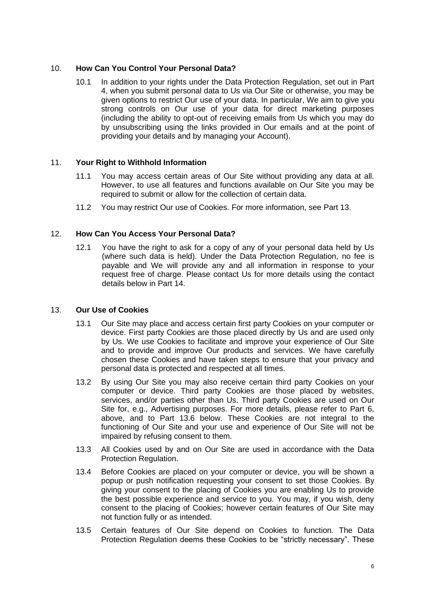# 10. **How Can You Control Your Personal Data?**

10.1 In addition to your rights under the Data Protection Regulation, set out in Part 4, when you submit personal data to Us via Our Site or otherwise, you may be given options to restrict Our use of your data. In particular, We aim to give you strong controls on Our use of your data for direct marketing purposes (including the ability to opt-out of receiving emails from Us which you may do by unsubscribing using the links provided in Our emails and at the point of providing your details and by managing your Account).

## 11. **Your Right to Withhold Information**

- 11.1 You may access certain areas of Our Site without providing any data at all. However, to use all features and functions available on Our Site you may be required to submit or allow for the collection of certain data.
- 11.2 You may restrict Our use of Cookies. For more information, see Part 13.

# 12. **How Can You Access Your Personal Data?**

12.1 You have the right to ask for a copy of any of your personal data held by Us (where such data is held). Under the Data Protection Regulation, no fee is payable and We will provide any and all information in response to your request free of charge. Please contact Us for more details using the contact details below in Part 14.

## 13. **Our Use of Cookies**

- 13.1 Our Site may place and access certain first party Cookies on your computer or device. First party Cookies are those placed directly by Us and are used only by Us. We use Cookies to facilitate and improve your experience of Our Site and to provide and improve Our products and services. We have carefully chosen these Cookies and have taken steps to ensure that your privacy and personal data is protected and respected at all times.
- 13.2 By using Our Site you may also receive certain third party Cookies on your computer or device. Third party Cookies are those placed by websites, services, and/or parties other than Us. Third party Cookies are used on Our Site for, e.g., Advertising purposes. For more details, please refer to Part 6, above, and to Part 13.6 below. These Cookies are not integral to the functioning of Our Site and your use and experience of Our Site will not be impaired by refusing consent to them.
- 13.3 All Cookies used by and on Our Site are used in accordance with the Data Protection Regulation.
- 13.4 Before Cookies are placed on your computer or device, you will be shown a popup or push notification requesting your consent to set those Cookies. By giving your consent to the placing of Cookies you are enabling Us to provide the best possible experience and service to you. You may, if you wish, deny consent to the placing of Cookies; however certain features of Our Site may not function fully or as intended.
- 13.5 Certain features of Our Site depend on Cookies to function. The Data Protection Regulation deems these Cookies to be "strictly necessary". These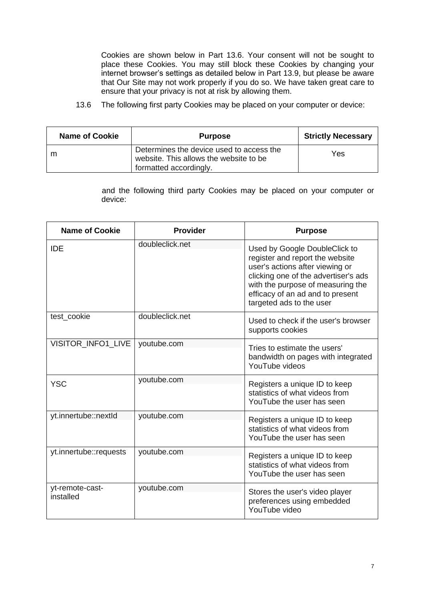Cookies are shown below in Part 13.6. Your consent will not be sought to place these Cookies. You may still block these Cookies by changing your internet browser's settings as detailed below in Part 13.9, but please be aware that Our Site may not work properly if you do so. We have taken great care to ensure that your privacy is not at risk by allowing them.

13.6 The following first party Cookies may be placed on your computer or device:

| <b>Name of Cookie</b> | <b>Purpose</b>                                                                                               | <b>Strictly Necessary</b> |
|-----------------------|--------------------------------------------------------------------------------------------------------------|---------------------------|
| m                     | Determines the device used to access the<br>website. This allows the website to be<br>formatted accordingly. | Yes                       |

and the following third party Cookies may be placed on your computer or device:

| <b>Name of Cookie</b>        | <b>Provider</b> | <b>Purpose</b>                                                                                                                                                                                                                                   |
|------------------------------|-----------------|--------------------------------------------------------------------------------------------------------------------------------------------------------------------------------------------------------------------------------------------------|
| <b>IDE</b>                   | doubleclick.net | Used by Google DoubleClick to<br>register and report the website<br>user's actions after viewing or<br>clicking one of the advertiser's ads<br>with the purpose of measuring the<br>efficacy of an ad and to present<br>targeted ads to the user |
| test cookie                  | doubleclick.net | Used to check if the user's browser<br>supports cookies                                                                                                                                                                                          |
| VISITOR INFO1 LIVE           | youtube.com     | Tries to estimate the users'<br>bandwidth on pages with integrated<br>YouTube videos                                                                                                                                                             |
| <b>YSC</b>                   | youtube.com     | Registers a unique ID to keep<br>statistics of what videos from<br>YouTube the user has seen                                                                                                                                                     |
| yt.innertube::nextld         | youtube.com     | Registers a unique ID to keep<br>statistics of what videos from<br>YouTube the user has seen                                                                                                                                                     |
| yt.innertube::requests       | youtube.com     | Registers a unique ID to keep<br>statistics of what videos from<br>YouTube the user has seen                                                                                                                                                     |
| yt-remote-cast-<br>installed | youtube.com     | Stores the user's video player<br>preferences using embedded<br>YouTube video                                                                                                                                                                    |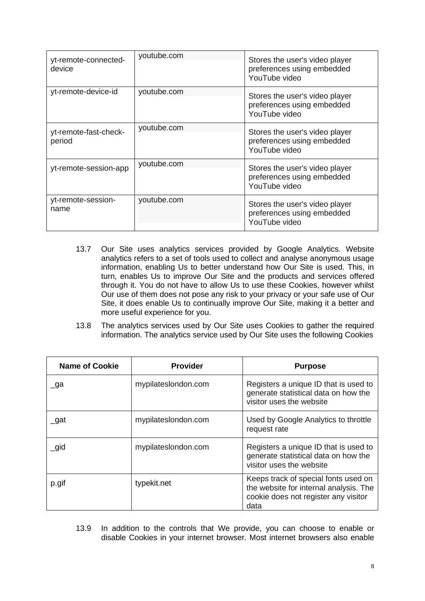| yt-remote-connected-<br>device  | youtube.com | Stores the user's video player<br>preferences using embedded<br>YouTube video |
|---------------------------------|-------------|-------------------------------------------------------------------------------|
| yt-remote-device-id             | youtube.com | Stores the user's video player<br>preferences using embedded<br>YouTube video |
| yt-remote-fast-check-<br>period | youtube.com | Stores the user's video player<br>preferences using embedded<br>YouTube video |
| yt-remote-session-app           | youtube.com | Stores the user's video player<br>preferences using embedded<br>YouTube video |
| yt-remote-session-<br>name      | youtube.com | Stores the user's video player<br>preferences using embedded<br>YouTube video |

- 13.7 Our Site uses analytics services provided by Google Analytics. Website analytics refers to a set of tools used to collect and analyse anonymous usage information, enabling Us to better understand how Our Site is used. This, in turn, enables Us to improve Our Site and the products and services offered through it. You do not have to allow Us to use these Cookies, however whilst Our use of them does not pose any risk to your privacy or your safe use of Our Site, it does enable Us to continually improve Our Site, making it a better and more useful experience for you.
- 13.8 The analytics services used by Our Site uses Cookies to gather the required information. The analytics service used by Our Site uses the following Cookies

| <b>Name of Cookie</b> | <b>Provider</b>     | <b>Purpose</b>                                                                                                                 |
|-----------------------|---------------------|--------------------------------------------------------------------------------------------------------------------------------|
| $\lrcorner$ ga        | mypilateslondon.com | Registers a unique ID that is used to<br>generate statistical data on how the<br>visitor uses the website                      |
| _gat                  | mypilateslondon.com | Used by Google Analytics to throttle<br>request rate                                                                           |
| _gid                  | mypilateslondon.com | Registers a unique ID that is used to<br>generate statistical data on how the<br>visitor uses the website                      |
| p.gif                 | typekit.net         | Keeps track of special fonts used on<br>the website for internal analysis. The<br>cookie does not register any visitor<br>data |

13.9 In addition to the controls that We provide, you can choose to enable or disable Cookies in your internet browser. Most internet browsers also enable